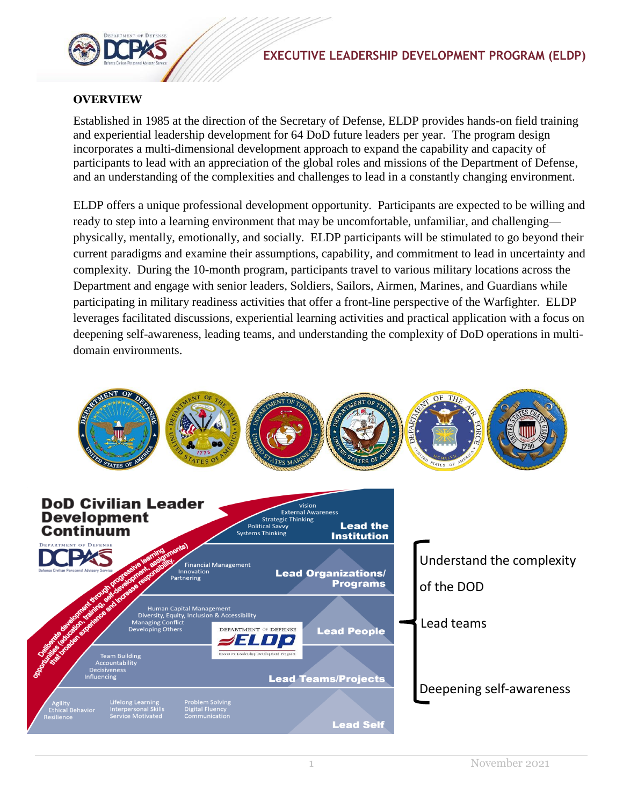## **EXECUTIVE LEADERSHIP DEVELOPMENT PROGRAM (ELDP)**



#### **OVERVIEW**

Established in 1985 at the direction of the Secretary of Defense, ELDP provides hands-on field training and experiential leadership development for 64 DoD future leaders per year. The program design incorporates a multi-dimensional development approach to expand the capability and capacity of participants to lead with an appreciation of the global roles and missions of the Department of Defense, and an understanding of the complexities and challenges to lead in a constantly changing environment.

ELDP offers a unique professional development opportunity. Participants are expected to be willing and ready to step into a learning environment that may be uncomfortable, unfamiliar, and challenging physically, mentally, emotionally, and socially. ELDP participants will be stimulated to go beyond their current paradigms and examine their assumptions, capability, and commitment to lead in uncertainty and complexity. During the 10-month program, participants travel to various military locations across the Department and engage with senior leaders, Soldiers, Sailors, Airmen, Marines, and Guardians while participating in military readiness activities that offer a front-line perspective of the Warfighter. ELDP leverages facilitated discussions, experiential learning activities and practical application with a focus on deepening self-awareness, leading teams, and understanding the complexity of DoD operations in multidomain environments.

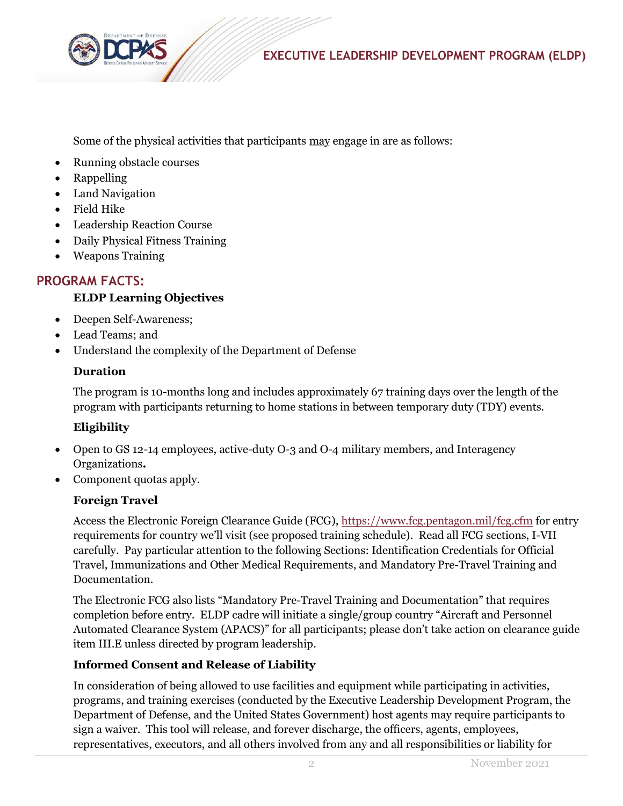![](_page_1_Picture_0.jpeg)

![](_page_1_Picture_1.jpeg)

Some of the physical activities that participants may engage in are as follows:

- Running obstacle courses
- Rappelling
- Land Navigation
- Field Hike
- Leadership Reaction Course
- Daily Physical Fitness Training
- Weapons Training

# **PROGRAM FACTS:**

## **ELDP Learning Objectives**

- Deepen Self-Awareness;
- Lead Teams; and
- Understand the complexity of the Department of Defense

### **Duration**

The program is 10-months long and includes approximately 67 training days over the length of the program with participants returning to home stations in between temporary duty (TDY) events.

## **Eligibility**

- Open to GS 12-14 employees, active-duty O-3 and O-4 military members, and Interagency Organizations**.**
- Component quotas apply.

## **Foreign Travel**

Access the Electronic Foreign Clearance Guide (FCG),<https://www.fcg.pentagon.mil/fcg.cfm> for entry requirements for country we'll visit (see proposed training schedule). Read all FCG sections, I-VII carefully. Pay particular attention to the following Sections: Identification Credentials for Official Travel, Immunizations and Other Medical Requirements, and Mandatory Pre-Travel Training and Documentation.

The Electronic FCG also lists "Mandatory Pre-Travel Training and Documentation" that requires completion before entry. ELDP cadre will initiate a single/group country "Aircraft and Personnel Automated Clearance System (APACS)" for all participants; please don't take action on clearance guide item III.E unless directed by program leadership.

## **Informed Consent and Release of Liability**

In consideration of being allowed to use facilities and equipment while participating in activities, programs, and training exercises (conducted by the Executive Leadership Development Program, the Department of Defense, and the United States Government) host agents may require participants to sign a waiver. This tool will release, and forever discharge, the officers, agents, employees, representatives, executors, and all others involved from any and all responsibilities or liability for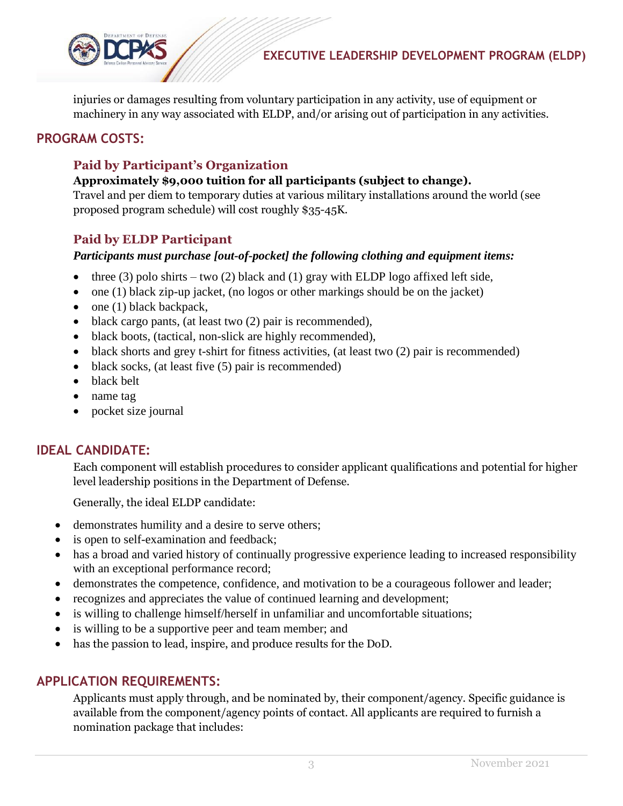![](_page_2_Picture_0.jpeg)

injuries or damages resulting from voluntary participation in any activity, use of equipment or machinery in any way associated with ELDP, and/or arising out of participation in any activities.

## **PROGRAM COSTS:**

## **Paid by Participant's Organization**

#### **Approximately \$9,000 tuition for all participants (subject to change).**

Travel and per diem to temporary duties at various military installations around the world (see proposed program schedule) will cost roughly \$35-45K.

### **Paid by ELDP Participant**

#### *Participants must purchase [out-of-pocket] the following clothing and equipment items:*

- three (3) polo shirts two (2) black and (1) gray with ELDP logo affixed left side,
- $\bullet$  one (1) black zip-up jacket, (no logos or other markings should be on the jacket)
- $\bullet$  one (1) black backpack,
- $\bullet$  black cargo pants, (at least two (2) pair is recommended),
- black boots, (tactical, non-slick are highly recommended),
- black shorts and grey t-shirt for fitness activities, (at least two  $(2)$  pair is recommended)
- black socks, (at least five (5) pair is recommended)
- black belt
- name tag
- pocket size journal

### **IDEAL CANDIDATE:**

Each component will establish procedures to consider applicant qualifications and potential for higher level leadership positions in the Department of Defense.

Generally, the ideal ELDP candidate:

- demonstrates humility and a desire to serve others;
- is open to self-examination and feedback;
- has a broad and varied history of continually progressive experience leading to increased responsibility with an exceptional performance record;
- demonstrates the competence, confidence, and motivation to be a courageous follower and leader;
- recognizes and appreciates the value of continued learning and development;
- is willing to challenge himself/herself in unfamiliar and uncomfortable situations;
- is willing to be a supportive peer and team member; and
- has the passion to lead, inspire, and produce results for the DoD.

### **APPLICATION REQUIREMENTS:**

Applicants must apply through, and be nominated by, their component/agency. Specific guidance is available from the component/agency points of contact. All applicants are required to furnish a nomination package that includes: